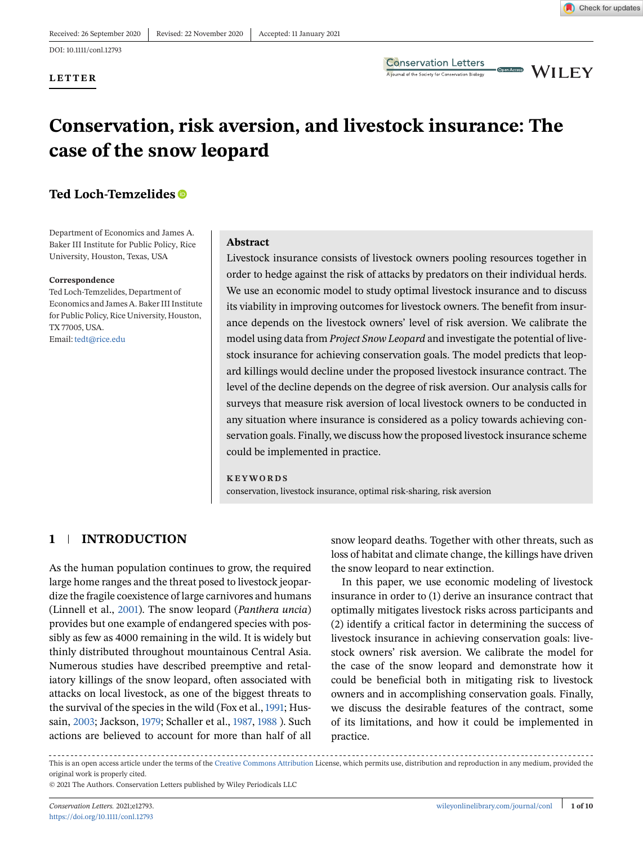DOI: 10.1111/conl.12793

**LETTER**

**Conservation Letters** A journal of the Society for Conservation Biology

**CDenAcces** WILEY

# **Conservation, risk aversion, and livestock insurance: The case of the snow leopard**

## **Ted Loch-Temzelides**

Department of Economics and James A. Baker III Institute for Public Policy, Rice University, Houston, Texas, USA

#### **Correspondence**

Ted Loch-Temzelides, Department of Economics and James A. Baker III Institute for Public Policy, Rice University, Houston, TX 77005, USA. Email: [tedt@rice.edu](mailto:tedt@rice.edu)

#### **Abstract**

Livestock insurance consists of livestock owners pooling resources together in order to hedge against the risk of attacks by predators on their individual herds. We use an economic model to study optimal livestock insurance and to discuss its viability in improving outcomes for livestock owners. The benefit from insurance depends on the livestock owners' level of risk aversion. We calibrate the model using data from *Project Snow Leopard* and investigate the potential of livestock insurance for achieving conservation goals. The model predicts that leopard killings would decline under the proposed livestock insurance contract. The level of the decline depends on the degree of risk aversion. Our analysis calls for surveys that measure risk aversion of local livestock owners to be conducted in any situation where insurance is considered as a policy towards achieving conservation goals. Finally, we discuss how the proposed livestock insurance scheme could be implemented in practice.

#### **KEYWORDS**

conservation, livestock insurance, optimal risk-sharing, risk aversion

## **1 INTRODUCTION**

As the human population continues to grow, the required large home ranges and the threat posed to livestock jeopardize the fragile coexistence of large carnivores and humans (Linnell et al., [2001\)](#page-8-0). The snow leopard (*Panthera uncia*) provides but one example of endangered species with possibly as few as 4000 remaining in the wild. It is widely but thinly distributed throughout mountainous Central Asia. Numerous studies have described preemptive and retaliatory killings of the snow leopard, often associated with attacks on local livestock, as one of the biggest threats to the survival of the species in the wild (Fox et al., [1991;](#page-8-0) Hussain, [2003;](#page-8-0) Jackson, [1979;](#page-8-0) Schaller et al., [1987,](#page-8-0) [1988](#page-8-0) ). Such actions are believed to account for more than half of all snow leopard deaths. Together with other threats, such as loss of habitat and climate change, the killings have driven the snow leopard to near extinction.

In this paper, we use economic modeling of livestock insurance in order to (1) derive an insurance contract that optimally mitigates livestock risks across participants and (2) identify a critical factor in determining the success of livestock insurance in achieving conservation goals: livestock owners' risk aversion. We calibrate the model for the case of the snow leopard and demonstrate how it could be beneficial both in mitigating risk to livestock owners and in accomplishing conservation goals. Finally, we discuss the desirable features of the contract, some of its limitations, and how it could be implemented in practice.

This is an open access article under the terms of the [Creative Commons Attribution](http://creativecommons.org/licenses/by/4.0/) License, which permits use, distribution and reproduction in any medium, provided the original work is properly cited.

<sup>© 2021</sup> The Authors. Conservation Letters published by Wiley Periodicals LLC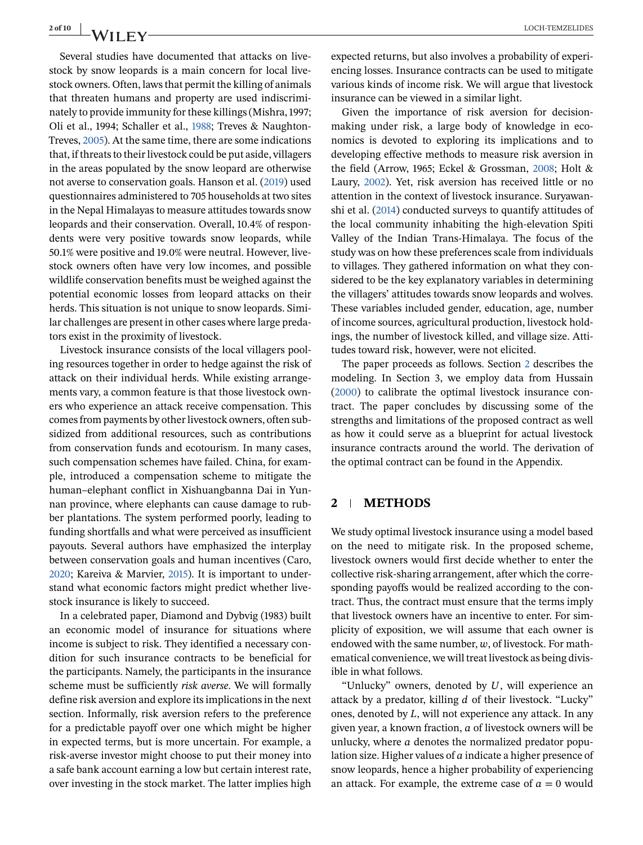Several studies have documented that attacks on livestock by snow leopards is a main concern for local livestock owners. Often, laws that permit the killing of animals that threaten humans and property are used indiscriminately to provide immunity for these killings (Mishra, 1997; Oli et al., 1994; Schaller et al., [1988;](#page-8-0) Treves & Naughton-Treves, [2005\)](#page-8-0). At the same time, there are some indications that, if threats to their livestock could be put aside, villagers in the areas populated by the snow leopard are otherwise not averse to conservation goals. Hanson et al. [\(2019\)](#page-8-0) used questionnaires administered to 705 households at two sites in the Nepal Himalayas to measure attitudes towards snow leopards and their conservation. Overall, 10.4% of respondents were very positive towards snow leopards, while 50.1% were positive and 19.0% were neutral. However, livestock owners often have very low incomes, and possible wildlife conservation benefits must be weighed against the potential economic losses from leopard attacks on their herds. This situation is not unique to snow leopards. Similar challenges are present in other cases where large predators exist in the proximity of livestock.

Livestock insurance consists of the local villagers pooling resources together in order to hedge against the risk of attack on their individual herds. While existing arrangements vary, a common feature is that those livestock owners who experience an attack receive compensation. This comes from payments by other livestock owners, often subsidized from additional resources, such as contributions from conservation funds and ecotourism. In many cases, such compensation schemes have failed. China, for example, introduced a compensation scheme to mitigate the human–elephant conflict in Xishuangbanna Dai in Yunnan province, where elephants can cause damage to rubber plantations. The system performed poorly, leading to funding shortfalls and what were perceived as insufficient payouts. Several authors have emphasized the interplay between conservation goals and human incentives (Caro, [2020;](#page-7-0) Kareiva & Marvier, [2015\)](#page-8-0). It is important to understand what economic factors might predict whether livestock insurance is likely to succeed.

In a celebrated paper, Diamond and Dybvig (1983) built an economic model of insurance for situations where income is subject to risk. They identified a necessary condition for such insurance contracts to be beneficial for the participants. Namely, the participants in the insurance scheme must be sufficiently *risk averse*. We will formally define risk aversion and explore its implications in the next section. Informally, risk aversion refers to the preference for a predictable payoff over one which might be higher in expected terms, but is more uncertain. For example, a risk-averse investor might choose to put their money into a safe bank account earning a low but certain interest rate, over investing in the stock market. The latter implies high

expected returns, but also involves a probability of experiencing losses. Insurance contracts can be used to mitigate various kinds of income risk. We will argue that livestock insurance can be viewed in a similar light.

Given the importance of risk aversion for decisionmaking under risk, a large body of knowledge in economics is devoted to exploring its implications and to developing effective methods to measure risk aversion in the field (Arrow, 1965; Eckel & Grossman, [2008;](#page-8-0) Holt & Laury, [2002\)](#page-8-0). Yet, risk aversion has received little or no attention in the context of livestock insurance. Suryawanshi et al. [\(2014\)](#page-8-0) conducted surveys to quantify attitudes of the local community inhabiting the high-elevation Spiti Valley of the Indian Trans-Himalaya. The focus of the study was on how these preferences scale from individuals to villages. They gathered information on what they considered to be the key explanatory variables in determining the villagers' attitudes towards snow leopards and wolves. These variables included gender, education, age, number of income sources, agricultural production, livestock holdings, the number of livestock killed, and village size. Attitudes toward risk, however, were not elicited.

The paper proceeds as follows. Section 2 describes the modeling. In Section 3, we employ data from Hussain [\(2000\)](#page-8-0) to calibrate the optimal livestock insurance contract. The paper concludes by discussing some of the strengths and limitations of the proposed contract as well as how it could serve as a blueprint for actual livestock insurance contracts around the world. The derivation of the optimal contract can be found in the Appendix.

## **2 METHODS**

We study optimal livestock insurance using a model based on the need to mitigate risk. In the proposed scheme, livestock owners would first decide whether to enter the collective risk-sharing arrangement, after which the corresponding payoffs would be realized according to the contract. Thus, the contract must ensure that the terms imply that livestock owners have an incentive to enter. For simplicity of exposition, we will assume that each owner is endowed with the same number,  $w$ , of livestock. For mathematical convenience, we will treat livestock as being divisible in what follows.

"Unlucky" owners, denoted by  $U$ , will experience an attack by a predator, killing  $d$  of their livestock. "Lucky" ones, denoted by  $L$ , will not experience any attack. In any given year, a known fraction,  $a$  of livestock owners will be unlucky, where  $a$  denotes the normalized predator population size. Higher values of  $a$  indicate a higher presence of snow leopards, hence a higher probability of experiencing an attack. For example, the extreme case of  $a = 0$  would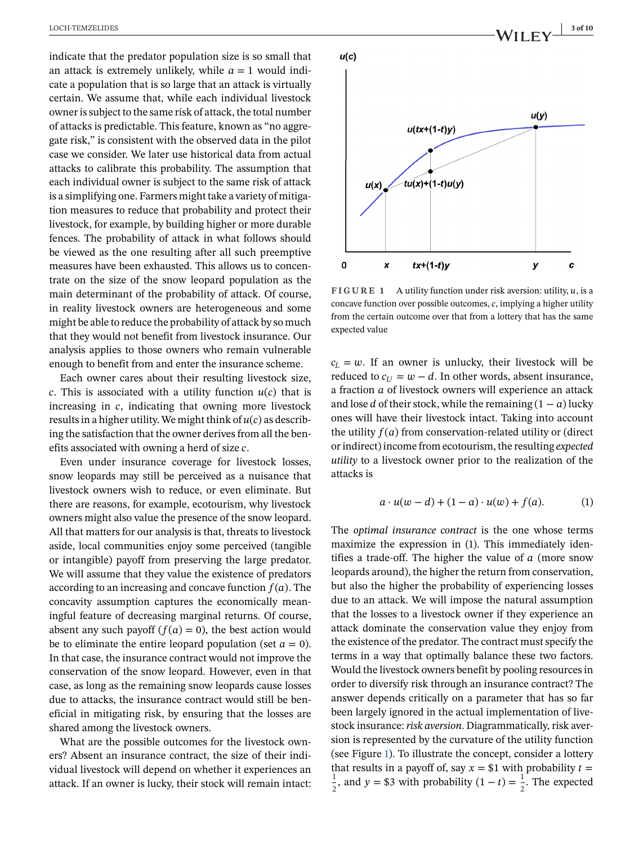indicate that the predator population size is so small that an attack is extremely unlikely, while  $a=1$  would indicate a population that is so large that an attack is virtually certain. We assume that, while each individual livestock owner is subject to the same risk of attack, the total number of attacks is predictable. This feature, known as "no aggregate risk," is consistent with the observed data in the pilot case we consider. We later use historical data from actual attacks to calibrate this probability. The assumption that each individual owner is subject to the same risk of attack is a simplifying one. Farmers might take a variety of mitigation measures to reduce that probability and protect their livestock, for example, by building higher or more durable fences. The probability of attack in what follows should be viewed as the one resulting after all such preemptive measures have been exhausted. This allows us to concentrate on the size of the snow leopard population as the main determinant of the probability of attack. Of course, in reality livestock owners are heterogeneous and some might be able to reduce the probability of attack by so much that they would not benefit from livestock insurance. Our analysis applies to those owners who remain vulnerable enough to benefit from and enter the insurance scheme.

Each owner cares about their resulting livestock size, c. This is associated with a utility function  $u(c)$  that is increasing in  $c$ , indicating that owning more livestock results in a higher utility. We might think of  $u(c)$  as describing the satisfaction that the owner derives from all the benefits associated with owning a herd of size  $c$ .

Even under insurance coverage for livestock losses, snow leopards may still be perceived as a nuisance that livestock owners wish to reduce, or even eliminate. But there are reasons, for example, ecotourism, why livestock owners might also value the presence of the snow leopard. All that matters for our analysis is that, threats to livestock aside, local communities enjoy some perceived (tangible or intangible) payoff from preserving the large predator. We will assume that they value the existence of predators according to an increasing and concave function  $f(a)$ . The concavity assumption captures the economically meaningful feature of decreasing marginal returns. Of course, absent any such payoff  $(f(a) = 0)$ , the best action would be to eliminate the entire leopard population (set  $a = 0$ ). In that case, the insurance contract would not improve the conservation of the snow leopard. However, even in that case, as long as the remaining snow leopards cause losses due to attacks, the insurance contract would still be beneficial in mitigating risk, by ensuring that the losses are shared among the livestock owners.

What are the possible outcomes for the livestock owners? Absent an insurance contract, the size of their individual livestock will depend on whether it experiences an attack. If an owner is lucky, their stock will remain intact:

<span id="page-2-0"></span>

**FIGURE 1** A utility function under risk aversion: utility,  $u$ , is a concave function over possible outcomes,  $c$ , implying a higher utility from the certain outcome over that from a lottery that has the same expected value

 $c_L = w$ . If an owner is unlucky, their livestock will be reduced to  $c_{\text{II}} = w - d$ . In other words, absent insurance, a fraction  $a$  of livestock owners will experience an attack and lose *d* of their stock, while the remaining  $(1 - a)$  lucky ones will have their livestock intact. Taking into account the utility  $f(a)$  from conservation-related utility or (direct or indirect) income from ecotourism, the resulting *expected utility* to a livestock owner prior to the realization of the attacks is

$$
a \cdot u(w - d) + (1 - a) \cdot u(w) + f(a). \tag{1}
$$

The *optimal insurance contract* is the one whose terms maximize the expression in (1). This immediately identifies a trade-off. The higher the value of  $a$  (more snow leopards around), the higher the return from conservation, but also the higher the probability of experiencing losses due to an attack. We will impose the natural assumption that the losses to a livestock owner if they experience an attack dominate the conservation value they enjoy from the existence of the predator. The contract must specify the terms in a way that optimally balance these two factors. Would the livestock owners benefit by pooling resources in order to diversify risk through an insurance contract? The answer depends critically on a parameter that has so far been largely ignored in the actual implementation of livestock insurance:*risk aversion*. Diagrammatically, risk aversion is represented by the curvature of the utility function (see Figure 1). To illustrate the concept, consider a lottery that results in a payoff of, say  $x = $1$  with probability  $t =$ 1  $\frac{1}{2}$ , and  $y = $3$  with probability  $(1 - t) = \frac{1}{2}$ . The expected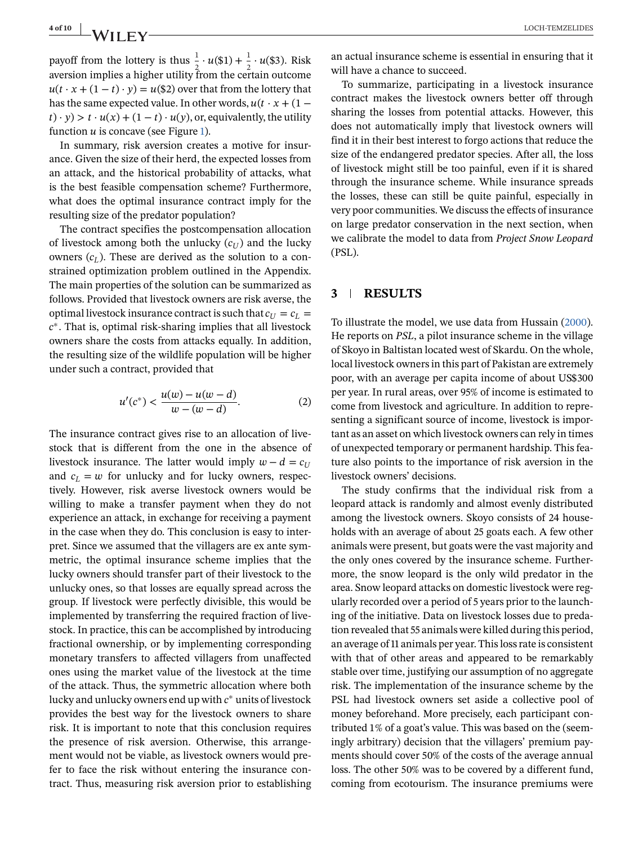## **4 of 10** LOCH-TEMZELIDES

payoff from the lottery is thus  $\frac{1}{2} \cdot u(\$1) + \frac{1}{2} \cdot u(\$3)$ . Risk aversion implies a higher utility from the certain outcome  $u(t \cdot x + (1 - t) \cdot y) = u(\$2)$  over that from the lottery that has the same expected value. In other words,  $u(t \cdot x + (1 (t) \cdot y$  >  $t \cdot u(x) + (1 - t) \cdot u(y)$ , or, equivalently, the utility function  $u$  is concave (see Figure [1\)](#page-2-0).

In summary, risk aversion creates a motive for insurance. Given the size of their herd, the expected losses from an attack, and the historical probability of attacks, what is the best feasible compensation scheme? Furthermore, what does the optimal insurance contract imply for the resulting size of the predator population?

The contract specifies the postcompensation allocation of livestock among both the unlucky  $(c_{U})$  and the lucky owners  $(c_l)$ . These are derived as the solution to a constrained optimization problem outlined in the Appendix. The main properties of the solution can be summarized as follows. Provided that livestock owners are risk averse, the optimal livestock insurance contract is such that  $c_U = c_L =$  $c^*$ . That is, optimal risk-sharing implies that all livestock owners share the costs from attacks equally. In addition, the resulting size of the wildlife population will be higher under such a contract, provided that

$$
u'(c^*) < \frac{u(w) - u(w - d)}{w - (w - d)}.\tag{2}
$$

The insurance contract gives rise to an allocation of livestock that is different from the one in the absence of livestock insurance. The latter would imply  $w-d=c_{U}$ and  $c_L = w$  for unlucky and for lucky owners, respectively. However, risk averse livestock owners would be willing to make a transfer payment when they do not experience an attack, in exchange for receiving a payment in the case when they do. This conclusion is easy to interpret. Since we assumed that the villagers are ex ante symmetric, the optimal insurance scheme implies that the lucky owners should transfer part of their livestock to the unlucky ones, so that losses are equally spread across the group. If livestock were perfectly divisible, this would be implemented by transferring the required fraction of livestock. In practice, this can be accomplished by introducing fractional ownership, or by implementing corresponding monetary transfers to affected villagers from unaffected ones using the market value of the livestock at the time of the attack. Thus, the symmetric allocation where both lucky and unlucky owners end up with  $c^*$  units of livestock provides the best way for the livestock owners to share risk. It is important to note that this conclusion requires the presence of risk aversion. Otherwise, this arrangement would not be viable, as livestock owners would prefer to face the risk without entering the insurance contract. Thus, measuring risk aversion prior to establishing

an actual insurance scheme is essential in ensuring that it will have a chance to succeed.

To summarize, participating in a livestock insurance contract makes the livestock owners better off through sharing the losses from potential attacks. However, this does not automatically imply that livestock owners will find it in their best interest to forgo actions that reduce the size of the endangered predator species. After all, the loss of livestock might still be too painful, even if it is shared through the insurance scheme. While insurance spreads the losses, these can still be quite painful, especially in very poor communities. We discuss the effects of insurance on large predator conservation in the next section, when we calibrate the model to data from *Project Snow Leopard* (PSL).

## **3 RESULTS**

To illustrate the model, we use data from Hussain [\(2000\)](#page-8-0). He reports on *PSL*, a pilot insurance scheme in the village of Skoyo in Baltistan located west of Skardu. On the whole, local livestock owners in this part of Pakistan are extremely poor, with an average per capita income of about US\$300 per year. In rural areas, over 95% of income is estimated to come from livestock and agriculture. In addition to representing a significant source of income, livestock is important as an asset on which livestock owners can rely in times of unexpected temporary or permanent hardship. This feature also points to the importance of risk aversion in the livestock owners' decisions.

The study confirms that the individual risk from a leopard attack is randomly and almost evenly distributed among the livestock owners. Skoyo consists of 24 households with an average of about 25 goats each. A few other animals were present, but goats were the vast majority and the only ones covered by the insurance scheme. Furthermore, the snow leopard is the only wild predator in the area. Snow leopard attacks on domestic livestock were regularly recorded over a period of 5 years prior to the launching of the initiative. Data on livestock losses due to predation revealed that 55 animals were killed during this period, an average of 11 animals per year. This loss rate is consistent with that of other areas and appeared to be remarkably stable over time, justifying our assumption of no aggregate risk. The implementation of the insurance scheme by the PSL had livestock owners set aside a collective pool of money beforehand. More precisely, each participant contributed 1% of a goat's value. This was based on the (seemingly arbitrary) decision that the villagers' premium payments should cover 50% of the costs of the average annual loss. The other 50% was to be covered by a different fund, coming from ecotourism. The insurance premiums were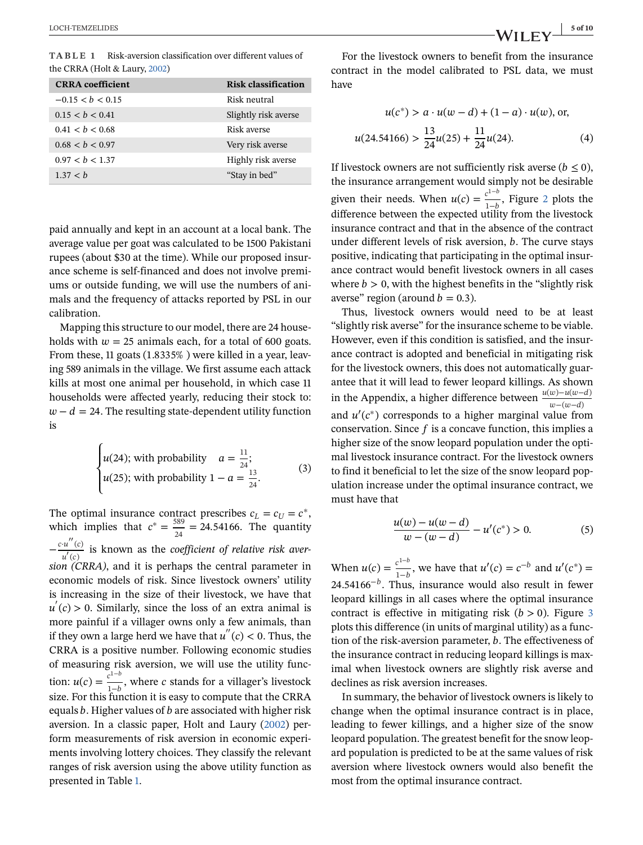**TABLE 1** Risk-aversion classification over different values of the CRRA (Holt & Laury, [2002\)](#page-8-0)

| <b>CRRA</b> coefficient | <b>Risk classification</b> |
|-------------------------|----------------------------|
| $-0.15 < b < 0.15$      | Risk neutral               |
| 0.15 < b < 0.41         | Slightly risk averse       |
| 0.41 < b < 0.68         | Risk averse                |
| 0.68 < b < 0.97         | Very risk averse           |
| 0.97 < b < 1.37         | Highly risk averse         |
| 1.37 < h                | "Stay in bed"              |

paid annually and kept in an account at a local bank. The average value per goat was calculated to be 1500 Pakistani rupees (about \$30 at the time). While our proposed insurance scheme is self-financed and does not involve premiums or outside funding, we will use the numbers of animals and the frequency of attacks reported by PSL in our calibration.

Mapping this structure to our model, there are 24 households with  $w = 25$  animals each, for a total of 600 goats. From these, 11 goats (1.8335% ) were killed in a year, leaving 589 animals in the village. We first assume each attack kills at most one animal per household, in which case 11 households were affected yearly, reducing their stock to:  $w - d = 24$ . The resulting state-dependent utility function is

 $\epsilon$ 

$$
\begin{cases}\nu(24); \text{ with probability } a = \frac{11}{24};\\ \nu(25); \text{ with probability } 1 - a = \frac{13}{24}.\end{cases}
$$
\n(3)

The optimal insurance contract prescribes  $c_L = c_U = c^*$ , which implies that  $c^* = \frac{589}{24} = 24.54166$ . The quantity  $-\frac{c \cdot u''(c)}{u'(c)}$  is known as the *coefficient of relative risk aversion (CRRA)*, and it is perhaps the central parameter in economic models of risk. Since livestock owners' utility is increasing in the size of their livestock, we have that  $u'(c) > 0$ . Similarly, since the loss of an extra animal is more painful if a villager owns only a few animals, than if they own a large herd we have that  $u''(c) < 0$ . Thus, the CRRA is a positive number. Following economic studies of measuring risk aversion, we will use the utility function:  $u(c) = \frac{c^{1-b}}{1-b}$ , where c stands for a villager's livestock size. For this function it is easy to compute that the CRRA equals  $b$ . Higher values of  $b$  are associated with higher risk aversion. In a classic paper, Holt and Laury [\(2002\)](#page-8-0) perform measurements of risk aversion in economic experiments involving lottery choices. They classify the relevant ranges of risk aversion using the above utility function as presented in Table 1.

For the livestock owners to benefit from the insurance contract in the model calibrated to PSL data, we must have

$$
u(c^*) > a \cdot u(w - d) + (1 - a) \cdot u(w), \text{ or,}
$$
  
u(24.54166) >  $\frac{13}{24}u(25) + \frac{11}{24}u(24)$ . (4)

If livestock owners are not sufficiently risk averse ( $b \le 0$ ), the insurance arrangement would simply not be desirable given their needs. When  $u(c) = \frac{c^{1-b}}{1-b}$ , Figure [2](#page-5-0) plots the difference between the expected utility from the livestock insurance contract and that in the absence of the contract under different levels of risk aversion,  $b$ . The curve stays positive, indicating that participating in the optimal insurance contract would benefit livestock owners in all cases where  $b > 0$ , with the highest benefits in the "slightly risk" averse" region (around  $b = 0.3$ ).

Thus, livestock owners would need to be at least "slightly risk averse" for the insurance scheme to be viable. However, even if this condition is satisfied, and the insurance contract is adopted and beneficial in mitigating risk for the livestock owners, this does not automatically guarantee that it will lead to fewer leopard killings. As shown in the Appendix, a higher difference between  $\frac{u(w)-u(w-d)}{w-(w-d)}$ and  $u'(c^*)$  corresponds to a higher marginal value from conservation. Since  $f$  is a concave function, this implies a higher size of the snow leopard population under the optimal livestock insurance contract. For the livestock owners to find it beneficial to let the size of the snow leopard population increase under the optimal insurance contract, we must have that

$$
\frac{u(w) - u(w - d)}{w - (w - d)} - u'(c^*) > 0.
$$
 (5)

When  $u(c) = \frac{c^{1-b}}{1-b}$ , we have that  $u'(c) = c^{-b}$  and  $u'(c^*) =$ 24.54166<sup> $-b$ </sup>. Thus, insurance would also result in fewer leopard killings in all cases where the optimal insurance contract is effective in mitigating risk  $(b > 0)$ . Figure [3](#page-5-0) plots this difference (in units of marginal utility) as a function of the risk-aversion parameter,  $b$ . The effectiveness of the insurance contract in reducing leopard killings is maximal when livestock owners are slightly risk averse and declines as risk aversion increases.

In summary, the behavior of livestock owners is likely to change when the optimal insurance contract is in place, leading to fewer killings, and a higher size of the snow leopard population. The greatest benefit for the snow leopard population is predicted to be at the same values of risk aversion where livestock owners would also benefit the most from the optimal insurance contract.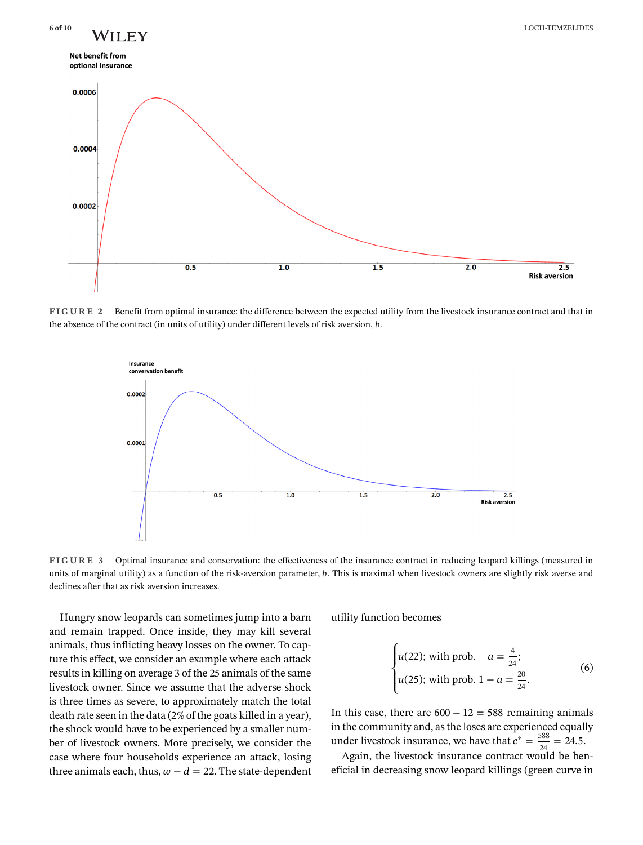<span id="page-5-0"></span>

**FIGURE 2** Benefit from optimal insurance: the difference between the expected utility from the livestock insurance contract and that in the absence of the contract (in units of utility) under different levels of risk aversion,  $b$ .



**FIGURE 3** Optimal insurance and conservation: the effectiveness of the insurance contract in reducing leopard killings (measured in units of marginal utility) as a function of the risk-aversion parameter, b. This is maximal when livestock owners are slightly risk averse and declines after that as risk aversion increases.

Hungry snow leopards can sometimes jump into a barn and remain trapped. Once inside, they may kill several animals, thus inflicting heavy losses on the owner. To capture this effect, we consider an example where each attack results in killing on average 3 of the 25 animals of the same livestock owner. Since we assume that the adverse shock is three times as severe, to approximately match the total death rate seen in the data (2% of the goats killed in a year), the shock would have to be experienced by a smaller number of livestock owners. More precisely, we consider the case where four households experience an attack, losing three animals each, thus,  $w - d = 22$ . The state-dependent utility function becomes

$$
\begin{cases}\nu(22); \text{ with prob.} & a = \frac{4}{24};\\ \nu(25); \text{ with prob. } 1 - a = \frac{20}{24}.\end{cases}
$$
\n(6)

In this case, there are  $600 - 12 = 588$  remaining animals in the community and, as the loses are experienced equally under livestock insurance, we have that  $c^* = \frac{588}{24} = 24.5$ .

Again, the livestock insurance contract would be beneficial in decreasing snow leopard killings (green curve in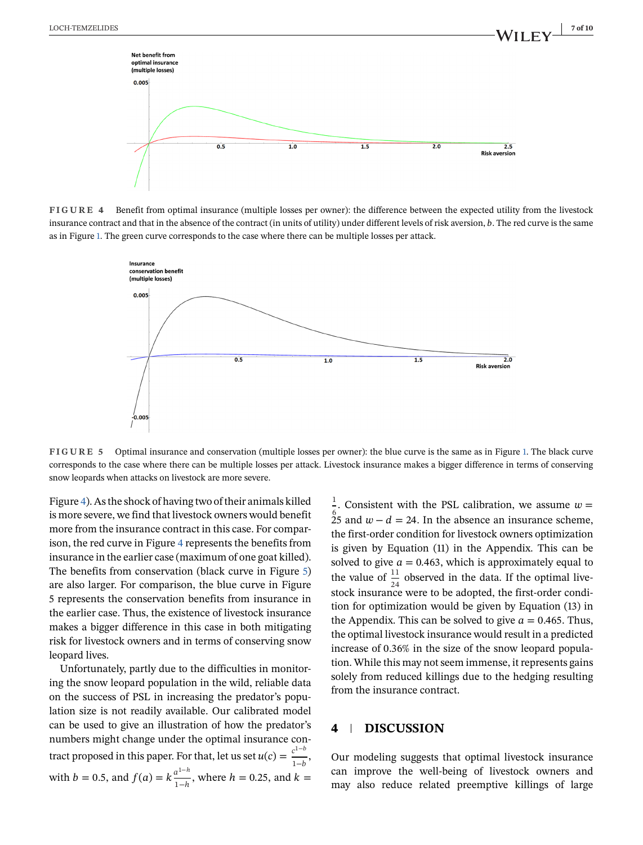

**FIGURE 4** Benefit from optimal insurance (multiple losses per owner): the difference between the expected utility from the livestock insurance contract and that in the absence of the contract (in units of utility) under different levels of risk aversion, b. The red curve is the same as in Figure [1.](#page-2-0) The green curve corresponds to the case where there can be multiple losses per attack.



**FIGURE 5** Optimal insurance and conservation (multiple losses per owner): the blue curve is the same as in Figure [1.](#page-2-0) The black curve corresponds to the case where there can be multiple losses per attack. Livestock insurance makes a bigger difference in terms of conserving snow leopards when attacks on livestock are more severe.

Figure 4). As the shock of having two of their animals killed is more severe, we find that livestock owners would benefit more from the insurance contract in this case. For comparison, the red curve in Figure 4 represents the benefits from insurance in the earlier case (maximum of one goat killed). The benefits from conservation (black curve in Figure 5) are also larger. For comparison, the blue curve in Figure 5 represents the conservation benefits from insurance in the earlier case. Thus, the existence of livestock insurance makes a bigger difference in this case in both mitigating risk for livestock owners and in terms of conserving snow leopard lives.

Unfortunately, partly due to the difficulties in monitoring the snow leopard population in the wild, reliable data on the success of PSL in increasing the predator's population size is not readily available. Our calibrated model can be used to give an illustration of how the predator's numbers might change under the optimal insurance contract proposed in this paper. For that, let us set  $u(c) = \frac{c^{1-b}}{1-b}$ , with  $b = 0.5$ , and  $f(a) = k \frac{a^{1-h}}{1-h}$ , where  $h = 0.25$ , and  $k =$ 

 $\frac{1}{6}$ . Consistent with the PSL calibration, we assume  $w =$  $\frac{6}{25}$  and  $w - d = 24$ . In the absence an insurance scheme, the first-order condition for livestock owners optimization is given by Equation (11) in the Appendix. This can be solved to give  $a = 0.463$ , which is approximately equal to the value of  $\frac{11}{24}$  observed in the data. If the optimal livestock insurance were to be adopted, the first-order condition for optimization would be given by Equation (13) in the Appendix. This can be solved to give  $a = 0.465$ . Thus, the optimal livestock insurance would result in a predicted increase of 0.36% in the size of the snow leopard population. While this may not seem immense, it represents gains solely from reduced killings due to the hedging resulting from the insurance contract.

## **4 DISCUSSION**

Our modeling suggests that optimal livestock insurance can improve the well-being of livestock owners and may also reduce related preemptive killings of large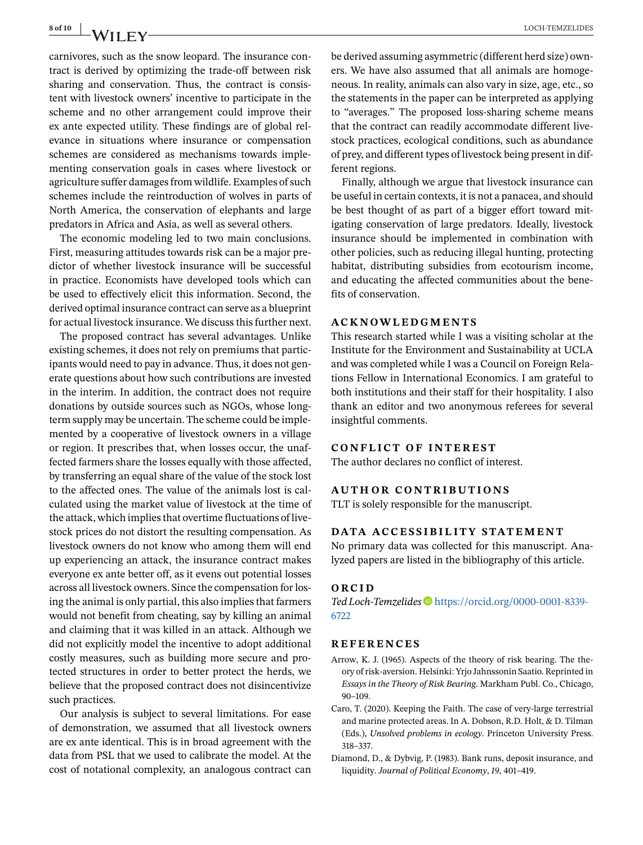<span id="page-7-0"></span>

carnivores, such as the snow leopard. The insurance contract is derived by optimizing the trade-off between risk sharing and conservation. Thus, the contract is consistent with livestock owners' incentive to participate in the scheme and no other arrangement could improve their ex ante expected utility. These findings are of global relevance in situations where insurance or compensation schemes are considered as mechanisms towards implementing conservation goals in cases where livestock or agriculture suffer damages from wildlife. Examples of such schemes include the reintroduction of wolves in parts of North America, the conservation of elephants and large predators in Africa and Asia, as well as several others.

The economic modeling led to two main conclusions. First, measuring attitudes towards risk can be a major predictor of whether livestock insurance will be successful in practice. Economists have developed tools which can be used to effectively elicit this information. Second, the derived optimal insurance contract can serve as a blueprint for actual livestock insurance. We discuss this further next.

The proposed contract has several advantages. Unlike existing schemes, it does not rely on premiums that participants would need to pay in advance. Thus, it does not generate questions about how such contributions are invested in the interim. In addition, the contract does not require donations by outside sources such as NGOs, whose longterm supply may be uncertain. The scheme could be implemented by a cooperative of livestock owners in a village or region. It prescribes that, when losses occur, the unaffected farmers share the losses equally with those affected, by transferring an equal share of the value of the stock lost to the affected ones. The value of the animals lost is calculated using the market value of livestock at the time of the attack, which implies that overtime fluctuations of livestock prices do not distort the resulting compensation. As livestock owners do not know who among them will end up experiencing an attack, the insurance contract makes everyone ex ante better off, as it evens out potential losses across all livestock owners. Since the compensation for losing the animal is only partial, this also implies that farmers would not benefit from cheating, say by killing an animal and claiming that it was killed in an attack. Although we did not explicitly model the incentive to adopt additional costly measures, such as building more secure and protected structures in order to better protect the herds, we believe that the proposed contract does not disincentivize such practices.

Our analysis is subject to several limitations. For ease of demonstration, we assumed that all livestock owners are ex ante identical. This is in broad agreement with the data from PSL that we used to calibrate the model. At the cost of notational complexity, an analogous contract can be derived assuming asymmetric (different herd size) owners. We have also assumed that all animals are homogeneous. In reality, animals can also vary in size, age, etc., so the statements in the paper can be interpreted as applying to "averages." The proposed loss-sharing scheme means that the contract can readily accommodate different livestock practices, ecological conditions, such as abundance of prey, and different types of livestock being present in different regions.

Finally, although we argue that livestock insurance can be useful in certain contexts, it is not a panacea, and should be best thought of as part of a bigger effort toward mitigating conservation of large predators. Ideally, livestock insurance should be implemented in combination with other policies, such as reducing illegal hunting, protecting habitat, distributing subsidies from ecotourism income, and educating the affected communities about the benefits of conservation.

## **ACKNOWLEDGMENTS**

This research started while I was a visiting scholar at the Institute for the Environment and Sustainability at UCLA and was completed while I was a Council on Foreign Relations Fellow in International Economics. I am grateful to both institutions and their staff for their hospitality. I also thank an editor and two anonymous referees for several insightful comments.

#### **CONFLICT OF INTEREST**

The author declares no conflict of interest.

#### **AUTHOR CONTRIBUTIONS**

TLT is solely responsible for the manuscript.

### **DATA ACCESSIBILITY STATEMENT**

No primary data was collected for this manuscript. Analyzed papers are listed in the bibliography of this article.

#### **ORCID**

Ted Loch-Temzelides **■** [https://orcid.org/0000-0001-8339-](https://orcid.org/0000-0001-8339-6722) [6722](https://orcid.org/0000-0001-8339-6722)

#### **REFERENCES**

- Arrow, K. J. (1965). Aspects of the theory of risk bearing. The theory of risk-aversion. Helsinki: Yrjo Jahnssonin Saatio. Reprinted in *Essays in the Theory of Risk Bearing*. Markham Publ. Co., Chicago, 90–109.
- Caro, T. (2020). Keeping the Faith. The case of very-large terrestrial and marine protected areas. In A. Dobson, R.D. Holt, & D. Tilman (Eds.), *Unsolved problems in ecology*. Princeton University Press. 318–337.
- Diamond, D., & Dybvig, P. (1983). Bank runs, deposit insurance, and liquidity. *Journal of Political Economy*, *19*, 401–419.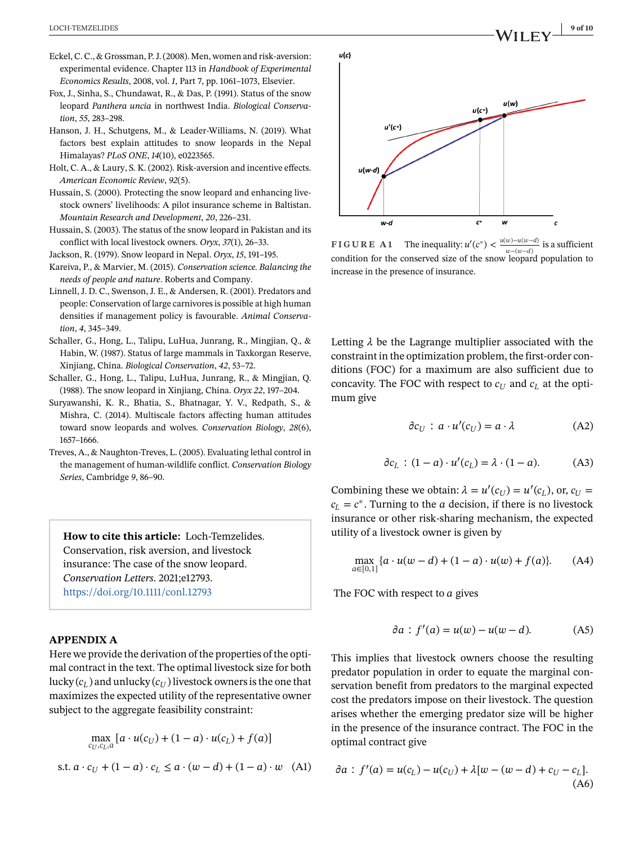- <span id="page-8-0"></span>Eckel, C. C., & Grossman, P. J. (2008). Men, women and risk-aversion: experimental evidence. Chapter 113 in *Handbook of Experimental Economics Results*, 2008, vol. *1*, Part 7, pp. 1061–1073, Elsevier.
- Fox, J., Sinha, S., Chundawat, R., & Das, P. (1991). Status of the snow leopard *Panthera uncia* in northwest India. *Biological Conservation*, *55*, 283–298.
- Hanson, J. H., Schutgens, M., & Leader-Williams, N. (2019). What factors best explain attitudes to snow leopards in the Nepal Himalayas? *PLoS ONE*, *14*(10), e0223565.
- Holt, C. A., & Laury, S. K. (2002). Risk-aversion and incentive effects. *American Economic Review*, *92*(5).
- Hussain, S. (2000). Protecting the snow leopard and enhancing livestock owners' livelihoods: A pilot insurance scheme in Baltistan. *Mountain Research and Development*, *20*, 226–231.
- Hussain, S. (2003). The status of the snow leopard in Pakistan and its conflict with local livestock owners. *Oryx*, *37*(1), 26–33.
- Jackson, R. (1979). Snow leopard in Nepal. *Oryx*, *15*, 191–195.
- Kareiva, P., & Marvier, M. (2015). *Conservation science. Balancing the needs of people and nature*. Roberts and Company.
- Linnell, J. D. C., Swenson, J. E., & Andersen, R. (2001). Predators and people: Conservation of large carnivores is possible at high human densities if management policy is favourable. *Animal Conservation*, *4*, 345–349.
- Schaller, G., Hong, L., Talipu, LuHua, Junrang, R., Mingjian, Q., & Habin, W. (1987). Status of large mammals in Taxkorgan Reserve, Xinjiang, China. *Biological Conservation*, *42*, 53–72.
- Schaller, G., Hong, L., Talipu, LuHua, Junrang, R., & Mingjian, Q. (1988). The snow leopard in Xinjiang, China. *Oryx 22*, 197–204.
- Suryawanshi, K. R., Bhatia, S., Bhatnagar, Y. V., Redpath, S., & Mishra, C. (2014). Multiscale factors affecting human attitudes toward snow leopards and wolves. *Conservation Biology*, *28*(6), 1657–1666.
- Treves, A., & Naughton-Treves, L. (2005). Evaluating lethal control in the management of human-wildlife conflict. *Conservation Biology Series*, Cambridge *9*, 86–90.

**How to cite this article:** Loch-Temzelides. Conservation, risk aversion, and livestock insurance: The case of the snow leopard. *Conservation Letters*. 2021;e12793. <https://doi.org/10.1111/conl.12793>

## **APPENDIX A**

Here we provide the derivation of the properties of the optimal contract in the text. The optimal livestock size for both lucky  $(c_l)$  and unlucky  $(c_l)$  livestock owners is the one that maximizes the expected utility of the representative owner subject to the aggregate feasibility constraint:

$$
\max_{c_U, c_L, a} \left[ a \cdot u(c_U) + (1 - a) \cdot u(c_L) + f(a) \right]
$$
  
s.t. 
$$
a \cdot c_U + (1 - a) \cdot c_L \le a \cdot (w - d) + (1 - a) \cdot w \quad (A1)
$$



**FIGURE A1** The inequality:  $u'(c^*) < \frac{u(w)-u(w-d)}{v(w-a)}$  is a sufficient  $w-(w-d)$ condition for the conserved size of the snow leopard population to increase in the presence of insurance.

Letting  $\lambda$  be the Lagrange multiplier associated with the constraint in the optimization problem, the first-order conditions (FOC) for a maximum are also sufficient due to concavity. The FOC with respect to  $c_U$  and  $c_L$  at the optimum give

$$
\partial c_U : a \cdot u'(c_U) = a \cdot \lambda \tag{A2}
$$

$$
\partial c_L : (1 - a) \cdot u'(c_L) = \lambda \cdot (1 - a). \tag{A3}
$$

Combining these we obtain:  $\lambda = u'(c_U) = u'(c_L)$ , or,  $c_U$  =  $c_L = c^*$ . Turning to the *a* decision, if there is no livestock insurance or other risk-sharing mechanism, the expected utility of a livestock owner is given by

$$
\max_{a \in [0,1]} \{a \cdot u(w - d) + (1 - a) \cdot u(w) + f(a)\}.
$$
 (A4)

The FOC with respect to  $a$  gives

$$
\partial a : f'(a) = u(w) - u(w - d). \tag{A5}
$$

This implies that livestock owners choose the resulting predator population in order to equate the marginal conservation benefit from predators to the marginal expected cost the predators impose on their livestock. The question arises whether the emerging predator size will be higher in the presence of the insurance contract. The FOC in the optimal contract give

$$
\partial a : f'(a) = u(c_L) - u(c_U) + \lambda [w - (w - d) + c_U - c_L].
$$
\n(A6)